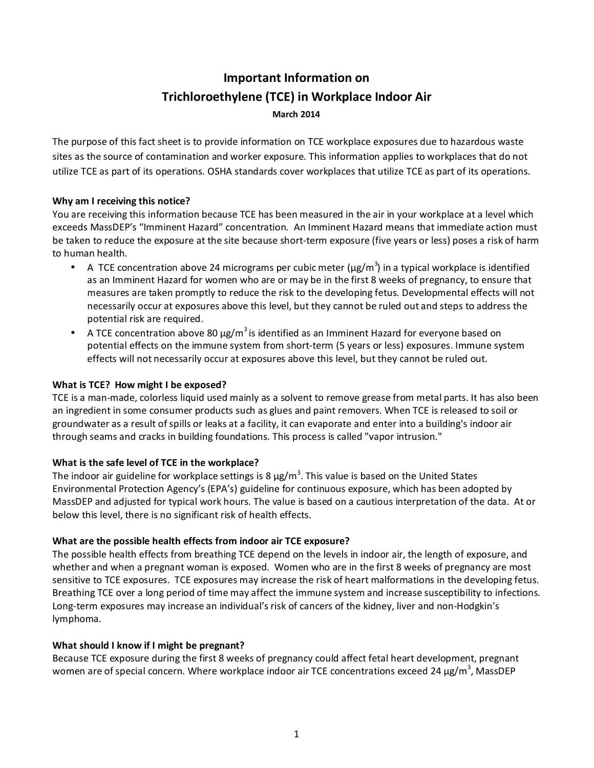# **Important Information on Trichloroethylene (TCE) in Workplace Indoor Air March 2014**

The purpose of this fact sheet is to provide information on TCE workplace exposures due to hazardous waste sites as the source of contamination and worker exposure. This information applies to workplaces that do not utilize TCE as part of its operations. OSHA standards cover workplaces that utilize TCE as part of its operations.

#### **Why am I receiving this notice?**

You are receiving this information because TCE has been measured in the air in your workplace at a level which exceeds MassDEP's "Imminent Hazard" concentration. An Imminent Hazard means that immediate action must be taken to reduce the exposure at the site because short-term exposure (five years or less) poses a risk of harm to human health.

- A TCE concentration above 24 micrograms per cubic meter ( $\mu$ g/m<sup>3</sup>) in a typical workplace is identified as an Imminent Hazard for women who are or may be in the first 8 weeks of pregnancy, to ensure that measures are taken promptly to reduce the risk to the developing fetus. Developmental effects will not necessarily occur at exposures above this level, but they cannot be ruled out and steps to address the potential risk are required.
- A TCE concentration above 80  $\mu$ g/m<sup>3</sup> is identified as an Imminent Hazard for everyone based on potential effects on the immune system from short-term (5 years or less) exposures. Immune system effects will not necessarily occur at exposures above this level, but they cannot be ruled out.

#### **What is TCE? How might I be exposed?**

TCE is a man-made, colorless liquid used mainly as a solvent to remove grease from metal parts. It has also been an ingredient in some consumer products such as glues and paint removers. When TCE is released to soil or groundwater as a result of spills or leaks at a facility, it can evaporate and enter into a building's indoor air through seams and cracks in building foundations. This process is called "vapor intrusion."

## **What is the safe level of TCE in the workplace?**

The indoor air guideline for workplace settings is 8  $\mu$ g/m<sup>3</sup>. This value is based on the United States Environmental Protection Agency's (EPA's) guideline for continuous exposure, which has been adopted by MassDEP and adjusted for typical work hours. The value is based on a cautious interpretation of the data. At or below this level, there is no significant risk of health effects.

## **What are the possible health effects from indoor air TCE exposure?**

The possible health effects from breathing TCE depend on the levels in indoor air, the length of exposure, and whether and when a pregnant woman is exposed. Women who are in the first 8 weeks of pregnancy are most sensitive to TCE exposures. TCE exposures may increase the risk of heart malformations in the developing fetus. Breathing TCE over a long period of time may affect the immune system and increase susceptibility to infections. Long-term exposures may increase an individual's risk of cancers of the kidney, liver and non-Hodgkin's lymphoma.

## **What should I know if I might be pregnant?**

Because TCE exposure during the first 8 weeks of pregnancy could affect fetal heart development, pregnant women are of special concern. Where workplace indoor air TCE concentrations exceed 24  $\mu$ g/m<sup>3</sup>, MassDEP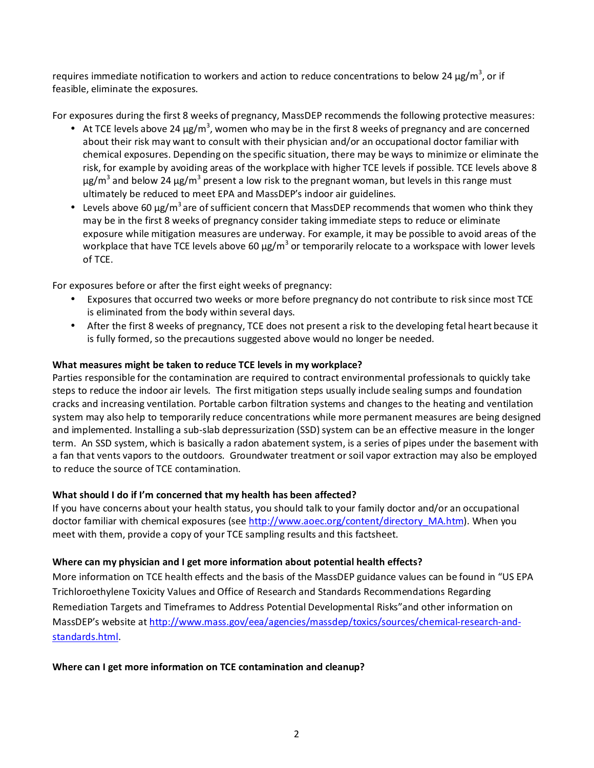requires immediate notification to workers and action to reduce concentrations to below 24  $\mu$ g/m<sup>3</sup>, or if feasible, eliminate the exposures.

For exposures during the first 8 weeks of pregnancy, MassDEP recommends the following protective measures:

- At TCE levels above 24  $\mu$ g/m<sup>3</sup>, women who may be in the first 8 weeks of pregnancy and are concerned about their risk may want to consult with their physician and/or an occupational doctor familiar with chemical exposures. Depending on the specific situation, there may be ways to minimize or eliminate the risk, for example by avoiding areas of the workplace with higher TCE levels if possible. TCE levels above 8  $\mu$ g/m $^3$  and below 24  $\mu$ g/m $^3$  present a low risk to the pregnant woman, but levels in this range must ultimately be reduced to meet EPA and MassDEP's indoor air guidelines.
- Levels above 60  $\mu$ g/m<sup>3</sup> are of sufficient concern that MassDEP recommends that women who think they may be in the first 8 weeks of pregnancy consider taking immediate steps to reduce or eliminate exposure while mitigation measures are underway. For example, it may be possible to avoid areas of the workplace that have TCE levels above 60  $\mu$ g/m<sup>3</sup> or temporarily relocate to a workspace with lower levels of TCE.

For exposures before or after the first eight weeks of pregnancy:

- Exposures that occurred two weeks or more before pregnancy do not contribute to risk since most TCE is eliminated from the body within several days.
- After the first 8 weeks of pregnancy, TCE does not present a risk to the developing fetal heart because it is fully formed, so the precautions suggested above would no longer be needed.

## **What measures might be taken to reduce TCE levels in my workplace?**

Parties responsible for the contamination are required to contract environmental professionals to quickly take steps to reduce the indoor air levels. The first mitigation steps usually include sealing sumps and foundation cracks and increasing ventilation. Portable carbon filtration systems and changes to the heating and ventilation system may also help to temporarily reduce concentrations while more permanent measures are being designed and implemented. Installing a sub-slab depressurization (SSD) system can be an effective measure in the longer term. An SSD system, which is basically a radon abatement system, is a series of pipes under the basement with a fan that vents vapors to the outdoors. Groundwater treatment or soil vapor extraction may also be employed to reduce the source of TCE contamination.

## **What should I do if I'm concerned that my health has been affected?**

If you have concerns about your health status, you should talk to your family doctor and/or an occupational doctor familiar with chemical exposures (see http://www.aoec.org/content/directory\_MA.htm). When you meet with them, provide a copy of your TCE sampling results and this factsheet.

# **Where can my physician and I get more information about potential health effects?**

More information on TCE health effects and the basis of the MassDEP guidance values can be found in "US EPA Trichloroethylene Toxicity Values and Office of Research and Standards Recommendations Regarding Remediation Targets and Timeframes to Address Potential Developmental Risks"and other information on MassDEP's website at http://www.mass.gov/eea/agencies/massdep/toxics/sources/chemical-research-andstandards.html.

**Where can I get more information on TCE contamination and cleanup?**